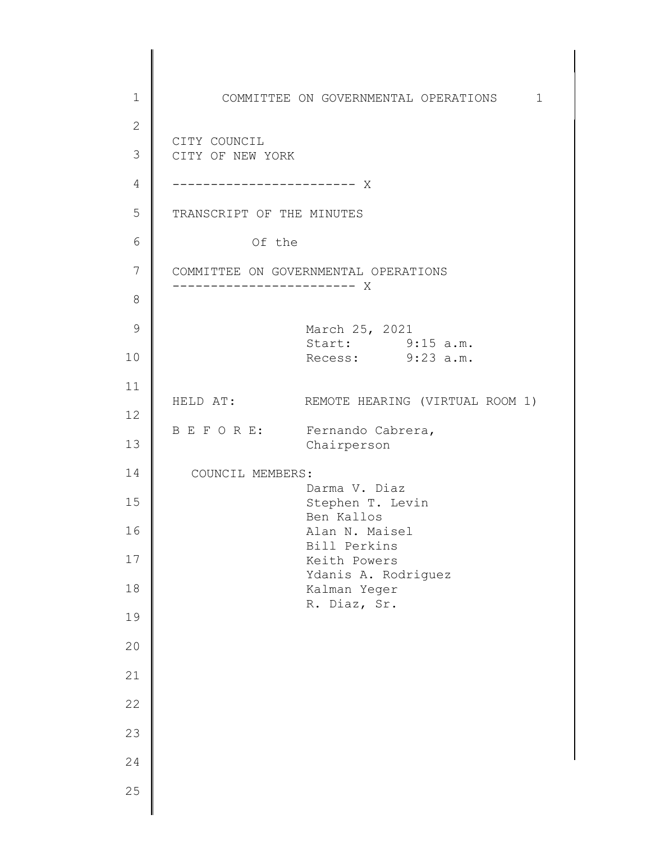1 2 3 4 5 6 7 8 9 10 11 12 13 14 15 16 17 18 19 20 21 22 23 24 25 COMMITTEE ON GOVERNMENTAL OPERATIONS 1 d ------------------------ X CITY COUNCIL CITY OF NEW YORK TRANSCRIPT OF THE MINUTES Of the COMMITTEE ON GOVERNMENTAL OPERATIONS ------------------------ X March 25, 2021 Start: 9:15 a.m. Recess: 9:23 a.m. HELD AT: REMOTE HEARING (VIRTUAL ROOM 1) B E F O R E: Fernando Cabrera, Chairperson COUNCIL MEMBERS: Darma V. Diaz Stephen T. Levin Ben Kallos Alan N. Maisel Bill Perkins Keith Powers Ydanis A. Rodriguez Kalman Yeger R. Diaz, Sr.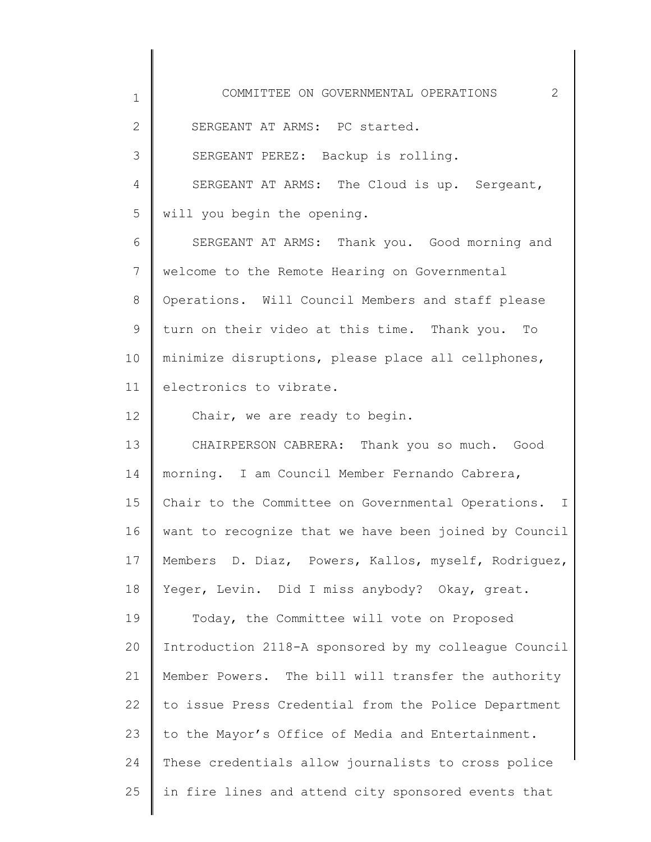1 2 3 4 5 6 7 8 9 10 11 12 13 14 15 16 17 18 19 20 21 22 23 24 25 COMMITTEE ON GOVERNMENTAL OPERATIONS 2 SERGEANT AT ARMS: PC started. SERGEANT PEREZ: Backup is rolling. SERGEANT AT ARMS: The Cloud is up. Sergeant, will you begin the opening. SERGEANT AT ARMS: Thank you. Good morning and welcome to the Remote Hearing on Governmental Operations. Will Council Members and staff please turn on their video at this time. Thank you. To minimize disruptions, please place all cellphones, electronics to vibrate. Chair, we are ready to begin. CHAIRPERSON CABRERA: Thank you so much. Good morning. I am Council Member Fernando Cabrera, Chair to the Committee on Governmental Operations. I want to recognize that we have been joined by Council Members D. Diaz, Powers, Kallos, myself, Rodriguez, Yeger, Levin. Did I miss anybody? Okay, great. Today, the Committee will vote on Proposed Introduction 2118-A sponsored by my colleague Council Member Powers. The bill will transfer the authority to issue Press Credential from the Police Department to the Mayor's Office of Media and Entertainment. These credentials allow journalists to cross police in fire lines and attend city sponsored events that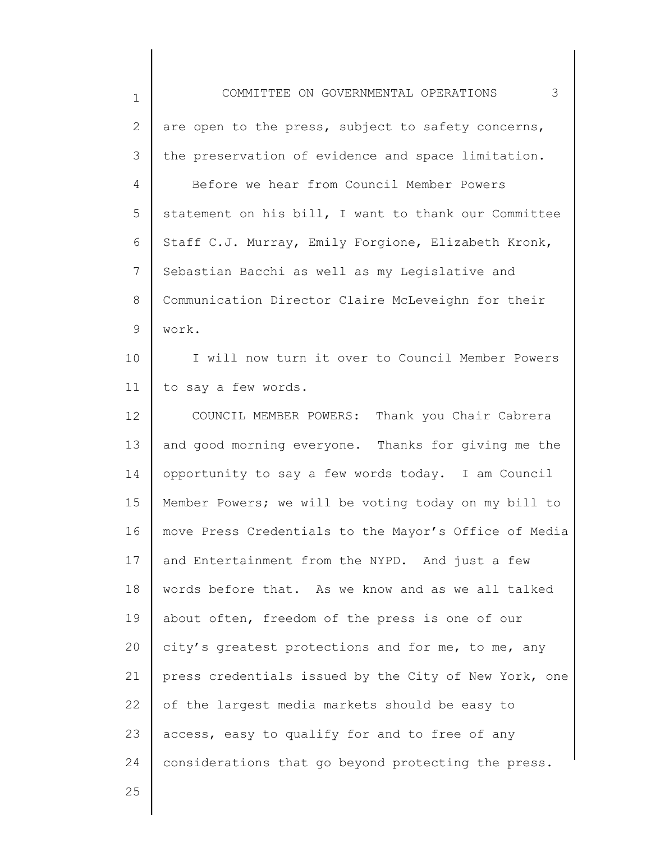| $\mathbf 1$  | 3<br>COMMITTEE ON GOVERNMENTAL OPERATIONS             |
|--------------|-------------------------------------------------------|
| $\mathbf{2}$ | are open to the press, subject to safety concerns,    |
| 3            | the preservation of evidence and space limitation.    |
| 4            | Before we hear from Council Member Powers             |
| 5            | statement on his bill, I want to thank our Committee  |
| 6            | Staff C.J. Murray, Emily Forgione, Elizabeth Kronk,   |
| 7            | Sebastian Bacchi as well as my Legislative and        |
| 8            | Communication Director Claire McLeveighn for their    |
| 9            | work.                                                 |
| 10           | I will now turn it over to Council Member Powers      |
| 11           | to say a few words.                                   |
| 12           | COUNCIL MEMBER POWERS: Thank you Chair Cabrera        |
| 13           | and good morning everyone. Thanks for giving me the   |
| 14           | opportunity to say a few words today. I am Council    |
| 15           | Member Powers; we will be voting today on my bill to  |
| 16           | move Press Credentials to the Mayor's Office of Media |
| 17           | and Entertainment from the NYPD. And just a few       |
| 18           | words before that. As we know and as we all talked    |
| 19           | about often, freedom of the press is one of our       |
| 20           | city's greatest protections and for me, to me, any    |
| 21           | press credentials issued by the City of New York, one |
| 22           | of the largest media markets should be easy to        |
| 23           | access, easy to qualify for and to free of any        |
| 24           | considerations that go beyond protecting the press.   |
| 25           |                                                       |
|              |                                                       |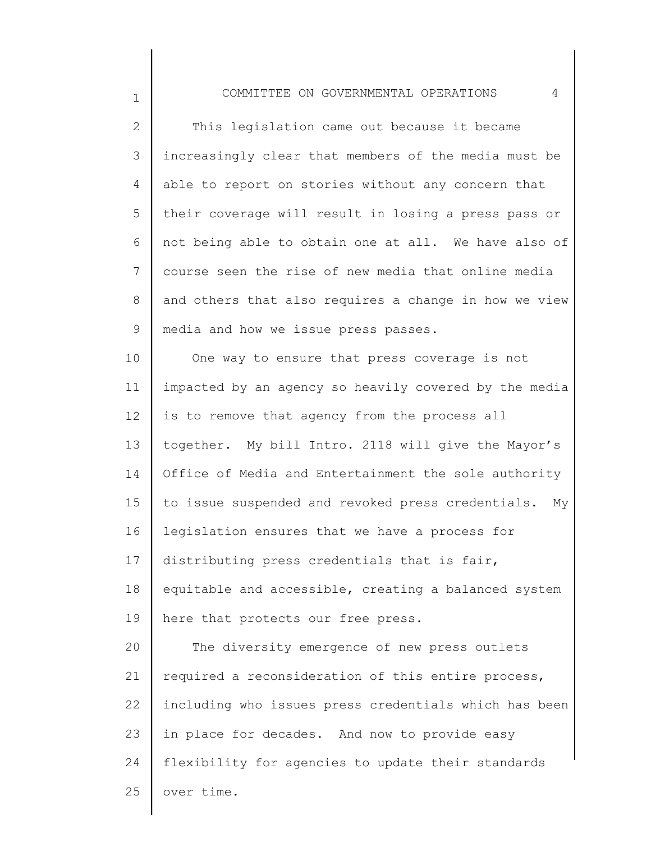## COMMITTEE ON GOVERNMENTAL OPERATIONS 4

1

2 3 4 5 6 7 8 9 This legislation came out because it became increasingly clear that members of the media must be able to report on stories without any concern that their coverage will result in losing a press pass or not being able to obtain one at all. We have also of course seen the rise of new media that online media and others that also requires a change in how we view media and how we issue press passes.

10 11 12 13 14 15 16 17 18 19 20 21 22 23 24 25 One way to ensure that press coverage is not impacted by an agency so heavily covered by the media is to remove that agency from the process all together. My bill Intro. 2118 will give the Mayor's Office of Media and Entertainment the sole authority to issue suspended and revoked press credentials. My legislation ensures that we have a process for distributing press credentials that is fair, equitable and accessible, creating a balanced system here that protects our free press. The diversity emergence of new press outlets required a reconsideration of this entire process, including who issues press credentials which has been in place for decades. And now to provide easy flexibility for agencies to update their standards over time.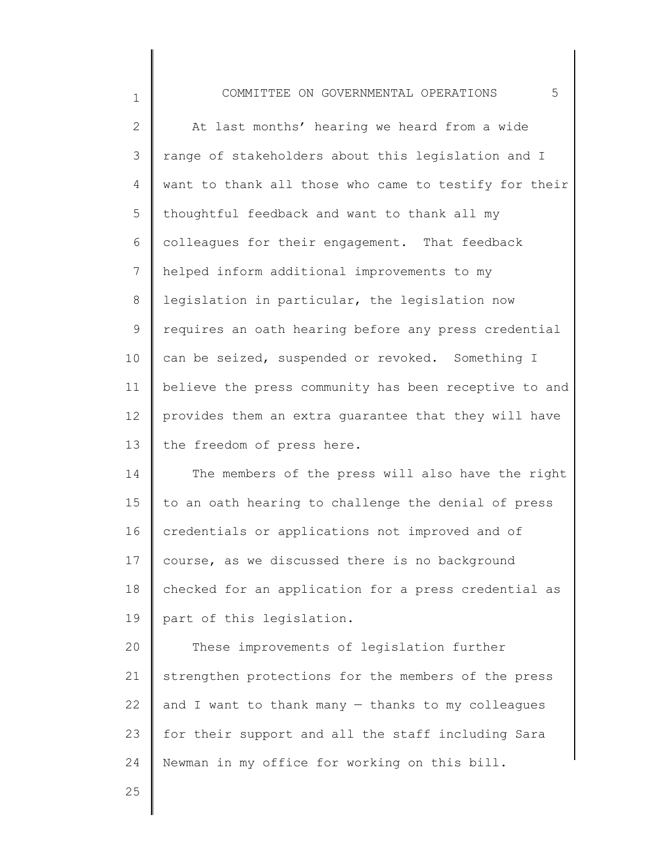| $\mathbf 1$    | 5<br>COMMITTEE ON GOVERNMENTAL OPERATIONS             |
|----------------|-------------------------------------------------------|
| $\mathbf{2}$   | At last months' hearing we heard from a wide          |
| 3              | range of stakeholders about this legislation and I    |
| 4              | want to thank all those who came to testify for their |
| 5              | thoughtful feedback and want to thank all my          |
| 6              | colleagues for their engagement. That feedback        |
| $\overline{7}$ | helped inform additional improvements to my           |
| $8\,$          | legislation in particular, the legislation now        |
| $\mathcal{G}$  | requires an oath hearing before any press credential  |
| 10             | can be seized, suspended or revoked. Something I      |
| 11             | believe the press community has been receptive to and |
| 12             | provides them an extra guarantee that they will have  |
| 13             | the freedom of press here.                            |
| 14             | The members of the press will also have the right     |
| 15             | to an oath hearing to challenge the denial of press   |
| 16             | credentials or applications not improved and of       |
| 17             | course, as we discussed there is no background        |
| 18             | checked for an application for a press credential as  |
| 19             | part of this legislation.                             |
| 20             | These improvements of legislation further             |
| 21             | strengthen protections for the members of the press   |
| 22             | and I want to thank many - thanks to my colleagues    |
| 23             | for their support and all the staff including Sara    |
| 24             | Newman in my office for working on this bill.         |
| 25             |                                                       |

 $\parallel$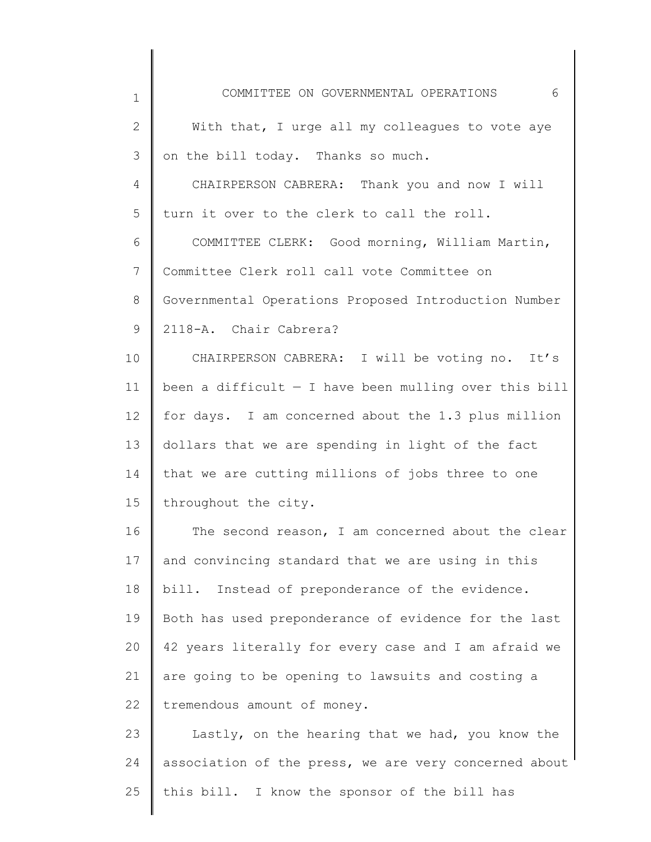| $\mathbf 1$    | 6<br>COMMITTEE ON GOVERNMENTAL OPERATIONS               |
|----------------|---------------------------------------------------------|
| $\mathbf{2}$   | With that, I urge all my colleagues to vote aye         |
| 3              | on the bill today. Thanks so much.                      |
| $\overline{4}$ | CHAIRPERSON CABRERA: Thank you and now I will           |
| 5              | turn it over to the clerk to call the roll.             |
| 6              | COMMITTEE CLERK: Good morning, William Martin,          |
| $7\phantom{.}$ | Committee Clerk roll call vote Committee on             |
| 8              | Governmental Operations Proposed Introduction Number    |
| 9              | 2118-A. Chair Cabrera?                                  |
| 10             | CHAIRPERSON CABRERA: I will be voting no. It's          |
| 11             | been a difficult $-$ I have been mulling over this bill |
| 12             | for days. I am concerned about the 1.3 plus million     |
| 13             | dollars that we are spending in light of the fact       |
| 14             | that we are cutting millions of jobs three to one       |
| 15             | throughout the city.                                    |
| 16             | The second reason, I am concerned about the clear       |
| 17             | and convincing standard that we are using in this       |
| 18             | bill. Instead of preponderance of the evidence.         |
| 19             | Both has used preponderance of evidence for the last    |
| 20             | 42 years literally for every case and I am afraid we    |
| 21             | are going to be opening to lawsuits and costing a       |
| 22             | tremendous amount of money.                             |
| 23             | Lastly, on the hearing that we had, you know the        |
| 24             | association of the press, we are very concerned about   |
| 25             | this bill. I know the sponsor of the bill has           |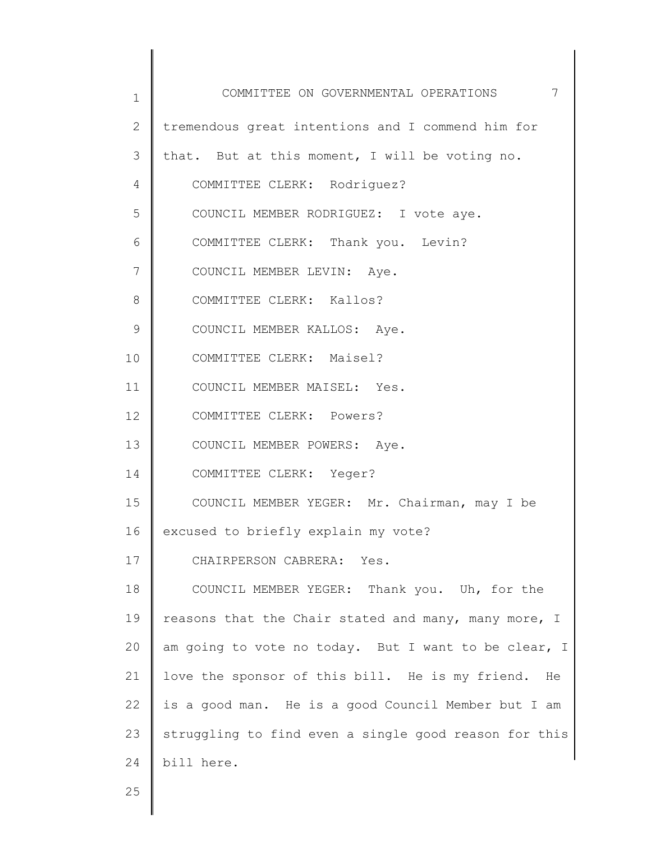| 1  | 7<br>COMMITTEE ON GOVERNMENTAL OPERATIONS             |
|----|-------------------------------------------------------|
| 2  | tremendous great intentions and I commend him for     |
| 3  | that. But at this moment, I will be voting no.        |
| 4  | COMMITTEE CLERK: Rodriguez?                           |
| 5  | COUNCIL MEMBER RODRIGUEZ: I vote aye.                 |
| 6  | COMMITTEE CLERK: Thank you. Levin?                    |
| 7  | COUNCIL MEMBER LEVIN: Aye.                            |
| 8  | COMMITTEE CLERK: Kallos?                              |
| 9  | COUNCIL MEMBER KALLOS: Aye.                           |
| 10 | COMMITTEE CLERK: Maisel?                              |
| 11 | COUNCIL MEMBER MAISEL: Yes.                           |
| 12 | COMMITTEE CLERK: Powers?                              |
| 13 | COUNCIL MEMBER POWERS: Aye.                           |
| 14 | COMMITTEE CLERK: Yeger?                               |
| 15 | COUNCIL MEMBER YEGER: Mr. Chairman, may I be          |
| 16 | excused to briefly explain my vote?                   |
| 17 | CHAIRPERSON CABRERA: Yes.                             |
| 18 | COUNCIL MEMBER YEGER: Thank you. Uh, for the          |
| 19 | reasons that the Chair stated and many, many more, I  |
| 20 | am going to vote no today. But I want to be clear, I  |
| 21 | love the sponsor of this bill. He is my friend.<br>He |
| 22 | is a good man. He is a good Council Member but I am   |
| 23 | struggling to find even a single good reason for this |
| 24 | bill here.                                            |

25

║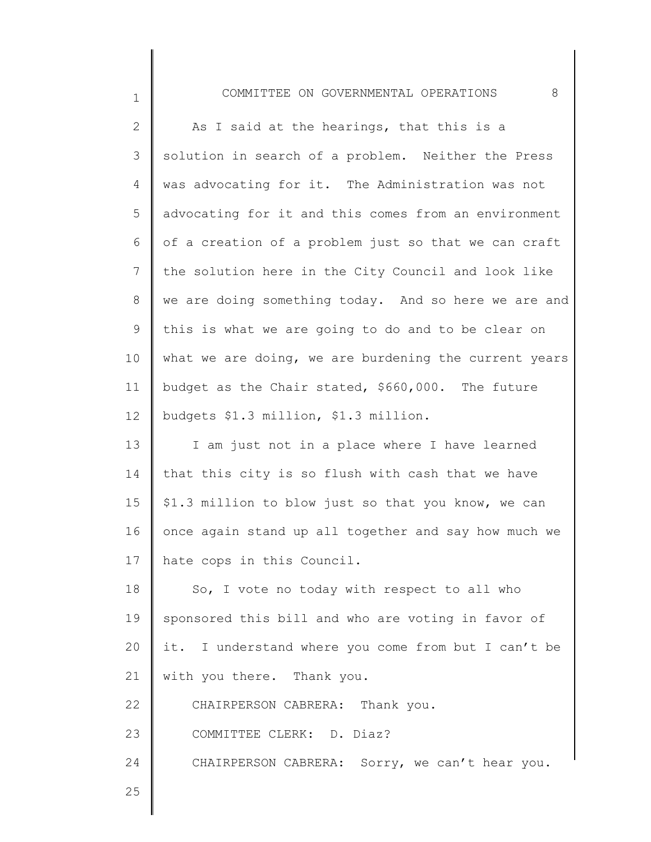## COMMITTEE ON GOVERNMENTAL OPERATIONS 8

1

25

| $\overline{2}$ | As I said at the hearings, that this is a             |
|----------------|-------------------------------------------------------|
| 3              | solution in search of a problem. Neither the Press    |
| 4              | was advocating for it. The Administration was not     |
| 5              | advocating for it and this comes from an environment  |
| 6              | of a creation of a problem just so that we can craft  |
| $7\phantom{.}$ | the solution here in the City Council and look like   |
| 8              | we are doing something today. And so here we are and  |
| 9              | this is what we are going to do and to be clear on    |
| 10             | what we are doing, we are burdening the current years |
| 11             | budget as the Chair stated, \$660,000. The future     |
| 12             | budgets \$1.3 million, \$1.3 million.                 |
| 13             | I am just not in a place where I have learned         |
| 14             | that this city is so flush with cash that we have     |
| 15             | \$1.3 million to blow just so that you know, we can   |
| 16             | once again stand up all together and say how much we  |
| 17             | hate cops in this Council.                            |
| 18             | So, I vote no today with respect to all who           |
| 19             | sponsored this bill and who are voting in favor of    |
| 20             | it. I understand where you come from but I can't be   |
| 21             | with you there. Thank you.                            |
| 22             | CHAIRPERSON CABRERA: Thank you.                       |
| 23             | COMMITTEE CLERK: D. Diaz?                             |
| 24             | CHAIRPERSON CABRERA: Sorry, we can't hear you.        |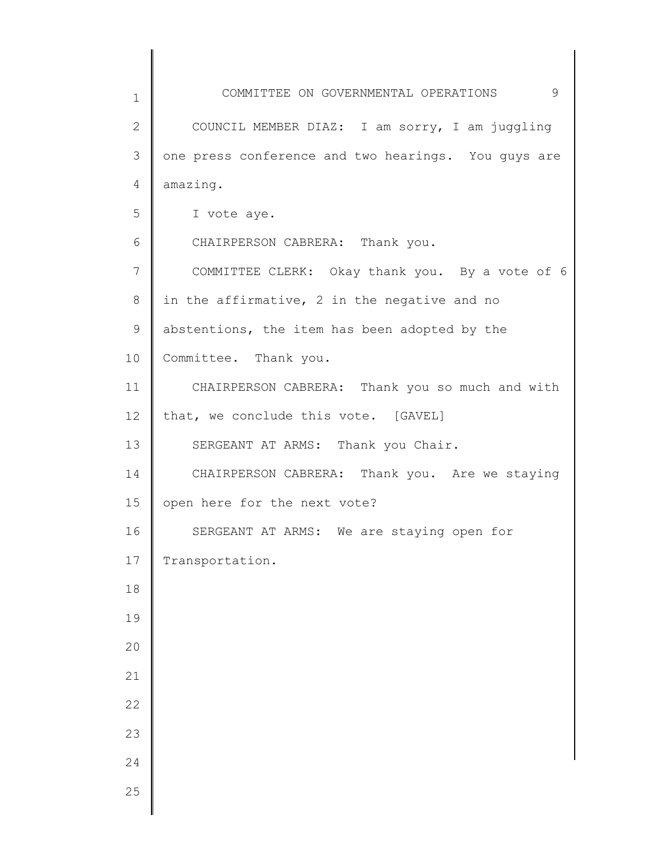| 1            | COMMITTEE ON GOVERNMENTAL OPERATIONS<br>9           |
|--------------|-----------------------------------------------------|
| $\mathbf{2}$ | COUNCIL MEMBER DIAZ: I am sorry, I am juggling      |
| 3            | one press conference and two hearings. You guys are |
| 4            | amazing.                                            |
| 5            | I vote aye.                                         |
| 6            | CHAIRPERSON CABRERA: Thank you.                     |
| 7            | COMMITTEE CLERK: Okay thank you. By a vote of 6     |
| $8\,$        | in the affirmative, 2 in the negative and no        |
| 9            | abstentions, the item has been adopted by the       |
| 10           | Committee. Thank you.                               |
| 11           | CHAIRPERSON CABRERA: Thank you so much and with     |
| 12           | that, we conclude this vote. [GAVEL]                |
| 13           | SERGEANT AT ARMS: Thank you Chair.                  |
| 14           | CHAIRPERSON CABRERA: Thank you. Are we staying      |
| 15           | open here for the next vote?                        |
| 16           | SERGEANT AT ARMS: We are staying open for           |
| 17           | Transportation.                                     |
| 18           |                                                     |
| 19           |                                                     |
| 20           |                                                     |
| 21           |                                                     |
| 22           |                                                     |
| 23           |                                                     |
| 24           |                                                     |
| 25           |                                                     |
|              |                                                     |